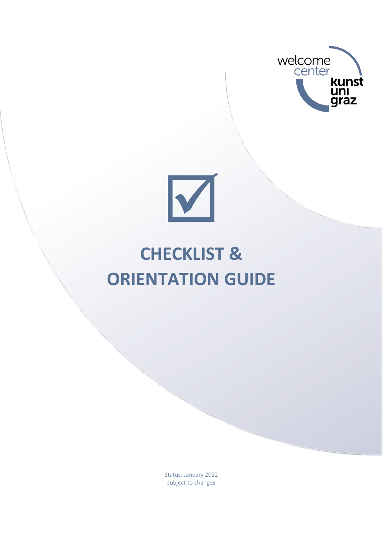



# **CHECKLIST & ORIENTATION GUIDE**

Status: January 2022 - subject to changes -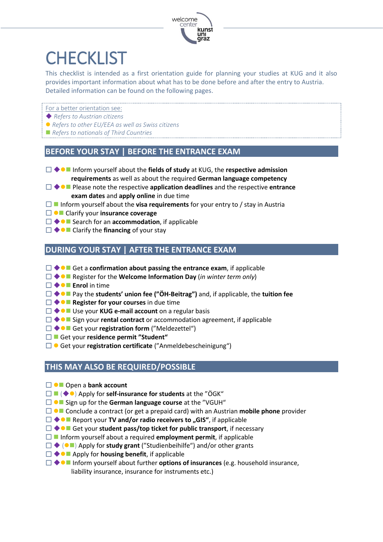

## **CHECKLIST**

This checklist is intended as a first orientation guide for planning your studies at KUG and it also provides important information about what has to be done before and after the entry to Austria. Detailed information can be found on the following pages.

- For a better orientation see:
- ◆ *Refers to Austrian citizens*
- ⚫ *Refers to other EU/EEA as well as Swiss citizens*
- *Refers to nationals of Third Countries*

#### **BEFORE YOUR STAY | BEFORE THE ENTRANCE EXAM**

- ◆⚫◼ Inform yourself about the **fields of study** at KUG, the **respective admission requirements** as well as about the required **German language competency**
- ◆⚫◼ Please note the respective **application deadlines** and the respective **entrance exam dates** and **apply online** in due time
- $\Box$  Inform yourself about the **visa requirements** for your entry to / stay in Austria
- ⚫◼ Clarify your **insurance coverage**
- ◆⚫◼ Search for an **accommodation**, if applicable
- ◆⚫◼ Clarify the **financing** of your stay

#### **DURING YOUR STAY | AFTER THE ENTRANCE EXAM**

- ◆⚫◼ Get a **confirmation about passing the entrance exam**, if applicable
- ◆⚫◼ Register for the **Welcome Information Day** (*in winter term only*)
- ◆⚫◼ **Enrol** in time
- ◆⚫◼ Pay the **students' union fee ("ÖH-Beitrag")** and, if applicable, the **tuition fee**
- ◆⚫◼ **Register for your courses** in due time
- ◆⚫◼ Use your **KUG e-mail account** on a regular basis
- ◆⚫◼ Sign your **rental contract** or accommodation agreement, if applicable
- ◆⚫◼ Get your **registration form** ("Meldezettel")
- ◼ Get your **residence permit "Student"**
- □ Get your **registration certificate** ("Anmeldebescheinigung")

#### **THIS MAY ALSO BE REQUIRED/POSSIBLE**

- ⚫◼ Open a **bank account**
- ◼ (◆⚫) Apply for **self-insurance for students** at the "ÖGK"
- ⚫◼ Sign up for the **German language course** at the "VGUH"
- □ ●■ Conclude a contract (or get a prepaid card) with an Austrian **mobile phone** provider
- □ ◆●■ Report your **TV and/or radio receivers to "GIS"**, if applicable
- ◆⚫◼ Get your **student pass/top ticket for public transport**, if necessary
- ◼ Inform yourself about a required **employment permit**, if applicable
- ◆ (⚫◼) Apply for **study grant** ("Studienbeihilfe") and/or other grants
- ◆⚫◼ Apply for **housing benefit**, if applicable
- ◆⚫◼ Inform yourself about further **options of insurances** (e.g. household insurance, liability insurance, insurance for instruments etc.)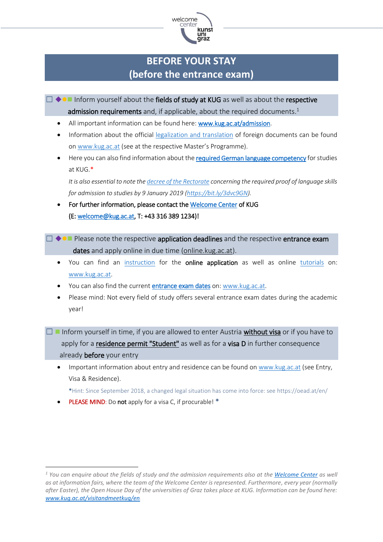

## **BEFORE YOUR STAY (before the entrance exam)**

- $\Box \blacklozenge$  Inform yourself about the fields of study at KUG as well as about the respective admission requirements and, if applicable, about the required documents.<sup>1</sup>
	- All important information can be found here: [www.kug.ac.at/admission.](http://www.kug.ac.at/admission)
	- Information about the official [legalization and translation](https://www.kug.ac.at/fileadmin/01_Kunstuniversitaet_Graz/01_Studieren/01_Interessierte/Studienabteilung/01_Allgemein/Anerkennungen_Aequivalenzen/Beglaubigung_auslaendischer_Urkunden_en.pdf) of foreign documents can be found on [www.kug.ac.at](http://www.kug.ac.at/) (see at the respective Master's Programme).
	- Here you can also find information about th[e required German language competency](https://www.kug.ac.at/en/study/university-applicants/knowledge-of-german-language/) for studies at KUG.\*

*It is also essential to note th[e decree of the Rectorate](https://www.kug.ac.at/fileadmin/01_Kunstuniversitaet_Graz/01_Studieren/01_Interessierte/Dokumente_WelC/mb_12_s_2_Verordnung_Sprachkenntnisse.pdf) concerning the required proof of language skills for admission to studies by 9 January 2019 [\(https://bit.ly/3dvc9GN\)](https://bit.ly/3dvc9GN).*

- For further information, please contact th[e Welcome Center](https://www.kug.ac.at/en/study/prospective-students/welcome-center/) of KUG (E[: welcome@kug.ac.at,](mailto:welcome@kug.ac.at) T: +43 316 389 1234)!
- $\Box \blacklozenge \blacksquare$  Please note the respective application deadlines and the respective entrance exam dates and apply online in due time [\(online.kug.ac.at\)](file:///C:/Users/evaca/AppData/Local/Temp/online.kug.ac.at).
	- You can find an [instruction](https://www.kug.ac.at/fileadmin/01_Kunstuniversitaet_Graz/01_Studieren/01_Interessierte/Studienabteilung/01_Allgemein/Info_Online-Anmeldung-Englisch.pdf) for the online application as well as online [tutorials](https://www.kug.ac.at/en/study/prospective-students/admission-requirements/tutorial-for-the-online-application/) on: [www.kug.ac.at.](http://www.kug.ac.at/)
	- You can also find the current **entrance exam dates** on[: www.kug.ac.at.](http://www.kug.ac.at/)
	- Please mind: Not every field of study offers several entrance exam dates during the academic year!
- $\Box$  Inform yourself in time, if you are allowed to enter Austria [without visa](https://oead.at/en/to-austria/entry-residence-and-employment/nationals-of-third-countries/exemption-from-visa-requirements-visumfreiheit/) or if you have to apply for a [residence permit "Student"](https://oead.at/en/to-austria/entry-and-residence/residence-permit-student-no-mobility-programme/) as well as for a visa D in further consequence already before your entry
	- Important information about entry and residence can be found on [www.kug.ac.at](http://www.kug.ac.at/) (see Entry, Visa & Residence).

\*Hint: Since September 2018, a changed legal situation has come into force: see<https://oead.at/en/>

**PLEASE MIND:** Do not apply for a visa C, if procurable! \*

*<sup>1</sup> You can enquire about the fields of study and the admission requirements also at th[e Welcome Center](https://www.kug.ac.at/en/study/prospective-students/welcome-center/) as well as at information fairs, where the team of the Welcome Center is represented. Furthermore, every year (normally after Easter), the Open House Day of the universities of Graz takes place at KUG. Information can be found here: [www.kug.ac.at/visitandmeetkug/en.](http://www.kug.ac.at/visitandmeetkug/en)*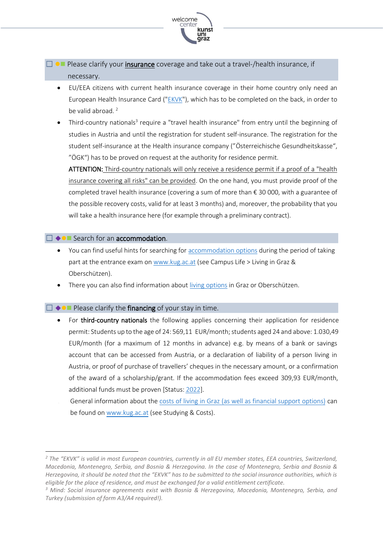

 $\Box$   $\Box$  Please clarify your [insurance](https://www.kug.ac.at/en/study/university-applicants/campus-life/insurance/) coverage and take out a travel-/health insurance, if necessary.

- EU/EEA citizens with current health insurance coverage in their home country only need an European Health Insurance Card (["EKVK"](http://www.chipkarte.at/portal27/ecardportal/content/contentWindow?contentid=10007.747404&action=2&viewmode=content)), which has to be completed on the back, in order to be valid abroad.<sup>2</sup>
- Third-country nationals<sup>3</sup> require a "travel health insurance" from entry until the beginning of studies in Austria and until the registration for student self-insurance. The registration for the student self-insurance at the Health insurance company ("Österreichische Gesundheitskasse", "ÖGK") has to be proved on request at the authority for residence permit.

ATTENTION: Third-country nationals will only receive a residence permit if a proof of a "health insurance covering all risks" can be provided. On the one hand, you must provide proof of the completed travel health insurance (covering a sum of more than € 30 000, with a guarantee of the possible recovery costs, valid for at least 3 months) and, moreover, the probability that you will take a health insurance here (for example through a preliminary contract).

#### ☐ ◆⚫◼ Search for an accommodation.

- You can find useful hints for searching fo[r accommodation options](https://www.kug.ac.at/en/study/university-applicants/campus-life/living-in-graz-oberschuetzen/) during the period of taking part at the entrance exam o[n www.kug.ac.at](http://www.kug.ac.at/) (see Campus Life > Living in Graz & Oberschützen).
- There you can also find information about [living options](https://www.kug.ac.at/en/study/university-applicants/campus-life/living-in-graz-oberschuetzen/) in Graz or Oberschützen.

#### $\Box \leftrightarrow \Box$  Please clarify the financing of your stay in time.

- For third-country nationals the following applies concerning their application for residence permit: Students up to the age of 24: 569,11 EUR/month; students aged 24 and above: 1.030,49 EUR/month (for a maximum of 12 months in advance) e.g. by means of a bank or savings account that can be accessed from Austria, or a declaration of liability of a person living in Austria, or proof of purchase of travellers' cheques in the necessary amount, or a confirmation of the award of a scholarship/grant. If the accommodation fees exceed 309,93 EUR/month, additional funds must be proven [Status: [202](https://oead.at/en/to-austria/entry-and-residence/residence-permit-student-no-mobility-programme)2].
	- General information about the [costs of living in Graz \(as well as financial support options\)](https://www.kug.ac.at/en/study/university-applicants/studying-costs/) can be found o[n www.kug.ac.at](http://www.kug.ac.at/) (see Studying & Costs).

*<sup>2</sup> The "EKVK" is valid in most European countries, currently in all EU member states, EEA countries, Switzerland, Macedonia, Montenegro, Serbia, and Bosnia & Herzegovina. In the case of Montenegro, Serbia and Bosnia & Herzegovina, it should be noted that the "EKVK" has to be submitted to the social insurance authorities, which is eligible for the place of residence, and must be exchanged for a valid entitlement certificate.* 

*<sup>3</sup> Mind: Social insurance agreements exist with Bosnia & Herzegovina, Macedonia, Montenegro, Serbia, and Turkey (submission of form A3/A4 required!).*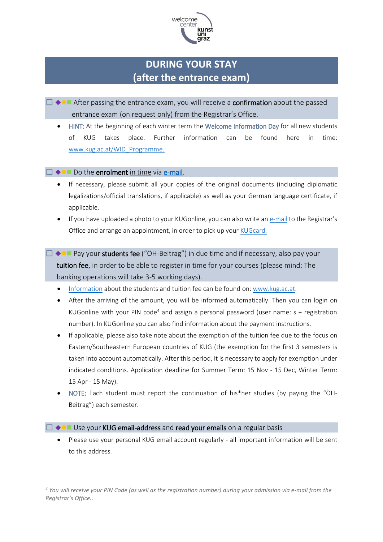

## **DURING YOUR STAY (after the entrance exam)**

- □ ◆●■ After passing the entrance exam, you will receive a confirmation about the passed entrance exam (on request only) from the [Registrar](https://www.kug.ac.at/en/study/students/registrars-office/)'s Office.
	- HINT: At the beginning of each winter term the Welcome Information Day for all new students of KUG takes place. Further information can be found here in time: [www.kug.ac.at/WID\\_Programme.](http://www.kug.ac.at/WID_Programme)

#### $\Box \leftrightarrow \bullet \blacksquare$  Do the enrolment [in time](https://www.kug.ac.at/en/study/students/dates-deadlines/) via [e-mail.](mailto:studienabteilung@kug.ac.at)

- If necessary, please submit all your copies of the original documents (including diplomatic legalizations/official translations, if applicable) as well as your German language certificate, if applicable.
- If you have uploaded a photo to your KUGonline, you can also write an [e-mail](mailto:studienabteilung@kug.ac.at) to the Registrar's Office and arrange an appointment, in order to pick up you[r KUGcard.](https://www.kug.ac.at/en/about-the-university/about-the-university/kugcard/kugcard-for-students.html)
- $\Box \blacklozenge \Box \blacklozenge$  Pay your students fee ("ÖH-Beitrag") in due time and if necessary, also pay your tuition fee, in order to be able to register in time for your courses (please mind: The banking operations will take 3-5 working days).
	- [Information](https://www.kug.ac.at/en/study/university-applicants/studying-costs/) about the students and tuition fee can be found on: [www.kug.ac.at.](http://www.kug.ac.at/)
	- After the arriving of the amount, you will be informed automatically. Then you can login on KUGonline with your PIN code<sup>4</sup> and assign a personal password (user name:  $s +$  registration number). In KUGonline you can also find information about the payment instructions.
	- If applicable, please also take note about the exemption of the tuition fee due to the focus on Eastern/Southeastern European countries of KUG (the exemption for the first 3 semesters is taken into account automatically. After this period, it is necessary to apply for exemption under indicated conditions. Application deadline for Summer Term: 15 Nov - 15 Dec, Winter Term: 15 Apr - 15 May).
	- NOTE: Each student must report the continuation of his\*her studies (by paying the "ÖH-Beitrag") each semester.

#### $\Box \leftrightarrow \bullet \blacksquare$  Use your KUG email-address and read your emails on a regular basis

• Please use your personal KUG email account regularly - all important information will be sent to this address.

*<sup>4</sup> You will receive your PIN Code (as well as the registration number) during your admission via e-mail from the Registrar's Office..*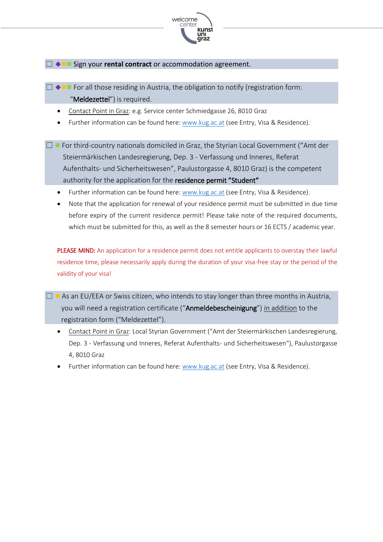

☐ ◆⚫◼ Sign your **rental contract** or accommodation agreement.

- $\Box \blacklozenge \blacksquare$  For all those residing in Austria, the obligation to notify (registration form: "**Meldezettel**") is required.
	- Contact Point in Graz: e.g. Service center Schmiedgasse 26, 8010 Graz
	- Further information can be found here: [www.kug.ac.at](http://www.kug.ac.at/) (see Entry, Visa & Residence).
- ☐ ◼ For third-country nationals domiciled in Graz, the Styrian Local Government ("Amt der Steiermärkischen Landesregierung, Dep. 3 - Verfassung und Inneres, Referat Aufenthalts- und Sicherheitswesen", Paulustorgasse 4, 8010 Graz) is the competent authority for the application for the residence permit "Student"
	- Further information can be found here: [www.kug.ac.at](http://www.kug.ac.at/) (see Entry, Visa & Residence).
	- Note that the application for renewal of your residence permit must be submitted in due time before expiry of the current residence permit! Please take note of the required documents, which must be submitted for this, as well as the 8 semester hours or 16 ECTS / academic year.

PLEASE MIND: An application for a residence permit does not entitle applicants to overstay their lawful residence time, please necessarily apply during the duration of your visa-free stay or the period of the validity of your visa!

- $\Box$   $\bullet$  As an EU/EEA or Swiss citizen, who intends to stay longer than three months in Austria, you will need a registration certificate ("Anmeldebescheinigung") in addition to the registration form ("Meldezettel").
	- [Contact Point](http://www.verwaltung.steiermark.at/cms/beitrag/11679938/75852120/) in Graz: Local Styrian Government ("Amt der Steiermärkischen Landesregierung, Dep. 3 - Verfassung und Inneres, Referat Aufenthalts- und Sicherheitswesen"), Paulustorgasse 4, 8010 Graz
	- Further information can be found here[: www.kug.ac.at](http://www.kug.ac.at/) (see Entry, Visa & Residence).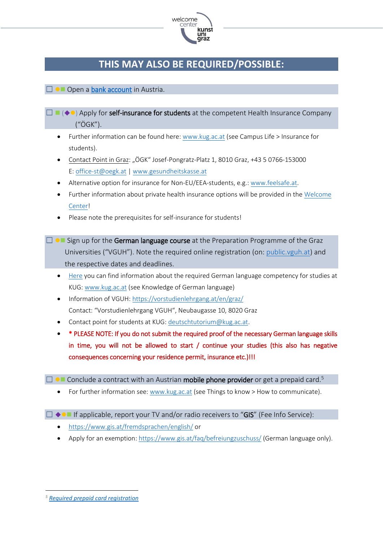

### **THIS MAY ALSO BE REQUIRED/POSSIBLE:**

#### □ ●■ Open a [bank account](https://www.kug.ac.at/en/study/university-applicants/studying-costs/) in Austria.

- $\Box$   $\Box$   $\Diamond$   $\Diamond$ ) Apply for self-insurance for students at the competent Health Insurance Company ("ÖGK").
	- Further information can be found here[: www.kug.ac.at](http://www.kug.ac.at/) (see Campus Life > Insurance for students).
	- Contact Point in Graz: "ÖGK" Josef-Pongratz-Platz 1, 8010 Graz, +43 5 0766-153000 E[: office-st@oegk.at](mailto:office-st@oegk.at) | [www.gesundheitskasse.at](http://www.gesundheitskasse.at/)
	- Alternative option for insurance for Non-EU/EEA-students, e.g.: [www.feelsafe.at.](http://www.feelsafe.at/)
	- Further information about private health insurance options will be provided in th[e Welcome](https://www.kug.ac.at/en/study/prospective-students/welcome-center/) [Center!](https://www.kug.ac.at/en/study/prospective-students/welcome-center/)
	- Please note the prerequisites for self-insurance for students!
- $\Box$   $\Box$  Sign up for the German language course at the Preparation Programme of the Graz Universities ("VGUH"). Note the required online registration (on: [public.vguh.at\)](file:///C:/Users/evaca/AppData/Local/Temp/public.vguh.at) and the respective dates and deadlines.
	- [Here](https://www.kug.ac.at/en/study/university-applicants/knowledge-of-german-language/) you can find information about the required German language competency for studies at KUG[: www.kug.ac.at](http://www.kug.ac.at/) (see Knowledge of German language)
	- Information of VGUH[: https://vorstudienlehrgang.at/en/graz/](https://vorstudienlehrgang.at/en/graz/) Contact: "Vorstudienlehrgang VGUH", Neubaugasse 10, 8020 Graz
	- Contact point for students at KUG[: deutschtutorium@kug.ac.at.](mailto:deutschtutorium@kug.ac.at)
	- \* PLEASE NOTE: If you do not submit the required proof of the necessary German language skills in time, you will not be allowed to start / continue your studies (this also has negative consequences concerning your residence permit, insurance etc.)!!!

 $\Box$   $\bullet$   $\Box$  Conclude a contract with an Austrian **mobile phone provider** or get a prepaid card.<sup>5</sup>

• For further information see: [www.kug.ac.at](http://www.kug.ac.at/) (see Things to know > How to communicate).

#### $\Box \leftrightarrow \blacksquare$  If applicable, report your TV and/or radio receivers to "GIS" (Fee Info Service):

- <https://www.gis.at/fremdsprachen/english/> or
- Apply for an exemption[: https://www.gis.at/faq/befreiungzuschuss/](https://www.gis.at/faq/befreiungzuschuss/) (German language only).

*<sup>5</sup> [Required prepaid card registration](https://www.wertkartenregistrierung.at/en)*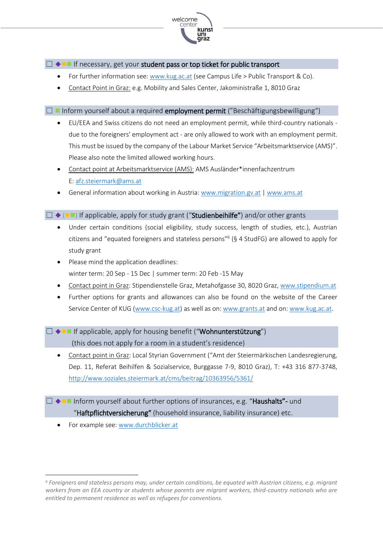

 $\Box \leftrightarrow \blacksquare$  If necessary, get your student pass or top ticket for public transport

- For further information see: [www.kug.ac.at](http://www.kug.ac.at/) (see Campus Life > Public Transport & Co).
- [Contact Point in](https://www.verbundlinie.at/en/tickets-fares/network-tickets/student-pass) Graz: e.g. Mobility and Sales Center, Jakoministraße 1, 8010 Graz

#### $\Box$  Inform yourself about a required **employment permit** ("Beschäftigungsbewilligung")

- EU/EEA and Swiss citizens do not need an employment permit, while third-country nationals due to the foreigners' employment act - are only allowed to work with an employment permit. This must be issued by the company of the Labour Market Service "Arbeitsmarktservice (AMS)". Please also note the limited allowed working hours.
- Contact point at Arbeitsmarktservice (AMS): AMS Ausländer\*innenfachzentrum E[: afz.steiermark@ams.at](mailto:afz.steiermark@ams.at)
- General information about working in Austria: [www.migration.gv.at](http://www.migration.gv.at/) | [www.ams.at](http://www.ams.at/)

 $\Box \blacklozenge$  ( $\blacksquare$ ) If applicable, apply for study grant ("Studienbeihilfe") and/or other grants

- Under certain conditions (social eligibility, study success, length of studies, etc.), Austrian citizens and "equated foreigners and stateless persons"<sup>6</sup> (§ 4 StudFG) are allowed to apply for study grant
- Please mind the application deadlines: winter term: 20 Sep - 15 Dec | summer term: 20 Feb -15 May
- Contact point in Graz: Stipendienstelle Graz, Metahofgasse 30, 8020 Graz, [www.stipendium.at](http://www.stipendium.at/)
- Further options for grants and allowances can also be found on the website of the Career Service Center of KUG [\(www.csc-kug.at\)](http://www.csc-kug.at/) as well as on: [www.grants.at](http://www.grants.at/) and on: [www.kug.ac.at.](http://www.kug.ac.at/)
- ☐ ◆⚫◼ If applicable, apply for housing benefit ("Wohnunterstützung") (this does not apply for a room in a student's residence)
	- Contact point in Graz: Local Styrian Government ("Amt der Steiermärkischen Landesregierung, Dep. 11, Referat Beihilfen & Sozialservice, Burggasse 7-9, 8010 Graz), T: +43 316 877-3748, <http://www.soziales.steiermark.at/cms/beitrag/10363956/5361/>
- ☐ ◆⚫◼ Inform yourself about further options of insurances, e.g. "Haushalts"- und "Haftpflichtversicherung" (household insurance, liability insurance) etc.
	- For example see: [www.durchblicker.at](http://www.durchblicker.at/)

*<sup>6</sup> Foreigners and stateless persons may, under certain conditions, be equated with Austrian citizens, e.g. migrant workers from an EEA country or students whose parents are migrant workers, third-country nationals who are entitled to permanent residence as well as refugees for conventions.*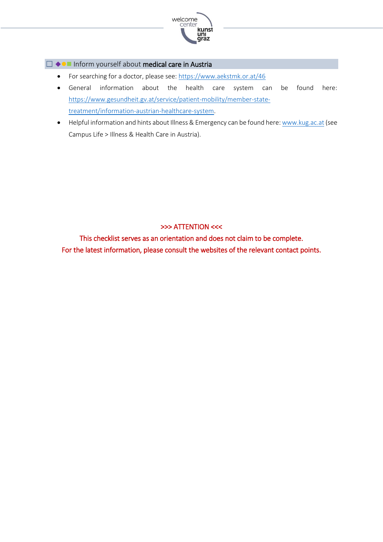

#### ☐ ◆⚫◼ Inform yourself about medical care in Austria

- For searching for a doctor, please see[: https://www.aekstmk.or.at/46](https://www.aekstmk.or.at/46)
- General information about the health care system can be found here: [https://www.gesundheit.gv.at/service/patient-mobility/member-state](https://www.gesundheit.gv.at/service/patient-mobility/member-state-treatment/information-austrian-healthcare-system)[treatment/information-austrian-healthcare-system.](https://www.gesundheit.gv.at/service/patient-mobility/member-state-treatment/information-austrian-healthcare-system)
- Helpful information and hints about Illness & Emergency can be found here[: www.kug.ac.at](http://www.kug.ac.at/) (see Campus Life > Illness & Health Care in Austria).

#### >>> ATTENTION <<<

This checklist serves as an orientation and does not claim to be complete. For the latest information, please consult the websites of the relevant contact points.